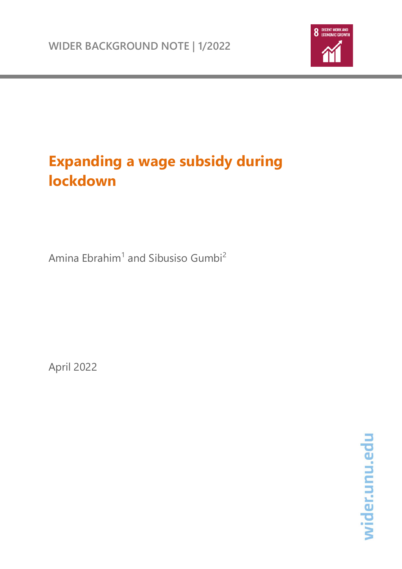

# **Expanding a wage subsidy during lockdown**

Amina Ebrahim<sup>1</sup> and Sibusiso Gumbi<sup>2</sup>

April 2022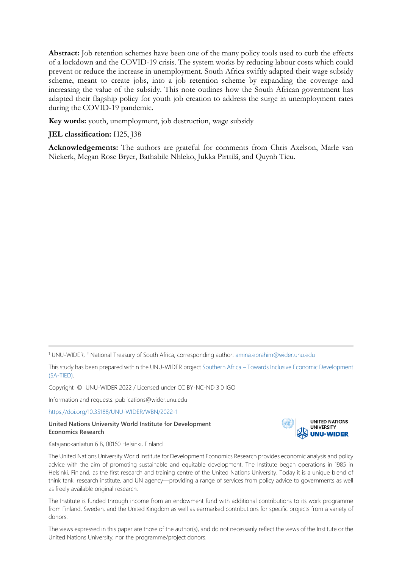**Abstract:** Job retention schemes have been one of the many policy tools used to curb the effects of a lockdown and the COVID-19 crisis. The system works by reducing labour costs which could prevent or reduce the increase in unemployment. South Africa swiftly adapted their wage subsidy scheme, meant to create jobs, into a job retention scheme by expanding the coverage and increasing the value of the subsidy. This note outlines how the South African government has adapted their flagship policy for youth job creation to address the surge in unemployment rates during the COVID-19 pandemic.

**Key words:** youth, unemployment, job destruction, wage subsidy

#### **JEL classification:** H25, J38

**Acknowledgements:** The authors are grateful for comments from Chris Axelson, Marle van Niekerk, Megan Rose Bryer, Bathabile Nhleko, Jukka Pirttilä, and Quynh Tieu.

Copyright © UNU-WIDER 2022 / Licensed under CC BY-NC-ND 3.0 IGO

Information and requests: publications@wider.unu.edu

<https://doi.org/10.35188/UNU-WIDER/WBN/2022-1>

**United Nations University World Institute for Development Economics Research**



Katajanokanlaituri 6 B, 00160 Helsinki, Finland

The United Nations University World Institute for Development Economics Research provides economic analysis and policy advice with the aim of promoting sustainable and equitable development. The Institute began operations in 1985 in Helsinki, Finland, as the first research and training centre of the United Nations University. Today it is a unique blend of think tank, research institute, and UN agency—providing a range of services from policy advice to governments as well as freely available original research.

The Institute is funded through income from an endowment fund with additional contributions to its work programme from Finland, Sweden, and the United Kingdom as well as earmarked contributions for specific projects from a variety of donors.

The views expressed in this paper are those of the author(s), and do not necessarily reflect the views of the Institute or the United Nations University, nor the programme/project donors.

<sup>&</sup>lt;sup>1</sup> UNU-WIDER, <sup>2</sup> National Treasury of South Africa; corresponding author: [amina.ebrahim@wider.unu.edu](mailto:amina.ebrahim@wider.unu.edu)

This study has been prepared within the UNU-WIDER project Southern Africa – [Towards Inclusive Economic Development](https://www.wider.unu.edu/node/151233)  [\(SA-TIED\).](https://www.wider.unu.edu/node/151233)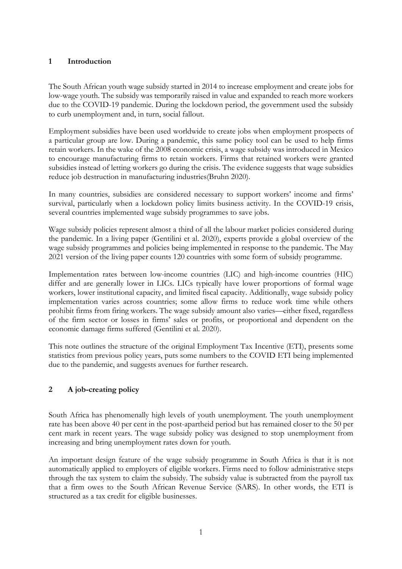## **1 Introduction**

The South African youth wage subsidy started in 2014 to increase employment and create jobs for low-wage youth. The subsidy was temporarily raised in value and expanded to reach more workers due to the COVID-19 pandemic. During the lockdown period, the government used the subsidy to curb unemployment and, in turn, social fallout.

Employment subsidies have been used worldwide to create jobs when employment prospects of a particular group are low. During a pandemic, this same policy tool can be used to help firms retain workers. In the wake of the 2008 economic crisis, a wage subsidy was introduced in Mexico to encourage manufacturing firms to retain workers. Firms that retained workers were granted subsidies instead of letting workers go during the crisis. The evidence suggests that wage subsidies reduce job destruction in manufacturing industries(Bruhn 2020).

In many countries, subsidies are considered necessary to support workers' income and firms' survival, particularly when a lockdown policy limits business activity. In the COVID-19 crisis, several countries implemented wage subsidy programmes to save jobs.

Wage subsidy policies represent almost a third of all the labour market policies considered during the pandemic. In a living paper (Gentilini et al. 2020), experts provide a global overview of the wage subsidy programmes and policies being implemented in response to the pandemic. The May 2021 version of the living paper counts 120 countries with some form of subsidy programme.

Implementation rates between low-income countries (LIC) and high-income countries (HIC) differ and are generally lower in LICs. LICs typically have lower proportions of formal wage workers, lower institutional capacity, and limited fiscal capacity. Additionally, wage subsidy policy implementation varies across countries; some allow firms to reduce work time while others prohibit firms from firing workers. The wage subsidy amount also varies—either fixed, regardless of the firm sector or losses in firms' sales or profits, or proportional and dependent on the economic damage firms suffered (Gentilini et al. 2020).

This note outlines the structure of the original Employment Tax Incentive (ETI), presents some statistics from previous policy years, puts some numbers to the COVID ETI being implemented due to the pandemic, and suggests avenues for further research.

## **2 A job-creating policy**

South Africa has phenomenally high levels of youth unemployment. The youth unemployment rate has been above 40 per cent in the post-apartheid period but has remained closer to the 50 per cent mark in recent years. The wage subsidy policy was designed to stop unemployment from increasing and bring unemployment rates down for youth.

An important design feature of the wage subsidy programme in South Africa is that it is not automatically applied to employers of eligible workers. Firms need to follow administrative steps through the tax system to claim the subsidy. The subsidy value is subtracted from the payroll tax that a firm owes to the South African Revenue Service (SARS). In other words, the ETI is structured as a tax credit for eligible businesses.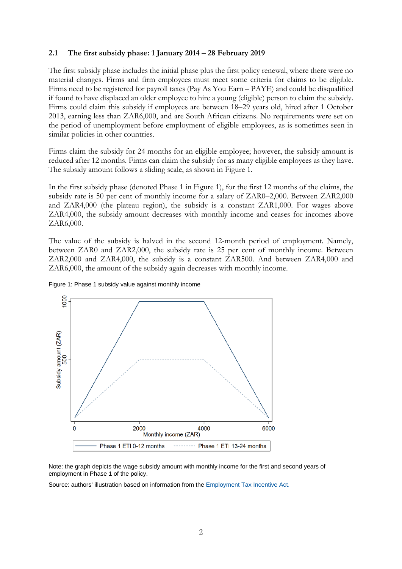#### **2.1 The first subsidy phase: 1 January 2014 – 28 February 2019**

The first subsidy phase includes the initial phase plus the first policy renewal, where there were no material changes. Firms and firm employees must meet some criteria for claims to be eligible. Firms need to be registered for payroll taxes (Pay As You Earn – PAYE) and could be disqualified if found to have displaced an older employee to hire a young (eligible) person to claim the subsidy. Firms could claim this subsidy if employees are between 18–29 years old, hired after 1 October 2013, earning less than ZAR6,000, and are South African citizens. No requirements were set on the period of unemployment before employment of eligible employees, as is sometimes seen in similar policies in other countries.

Firms claim the subsidy for 24 months for an eligible employee; however, the subsidy amount is reduced after 12 months. Firms can claim the subsidy for as many eligible employees as they have. The subsidy amount follows a sliding scale, as shown in [Figure 1.](#page-3-0)

In the first subsidy phase (denoted Phase 1 in Figure 1), for the first 12 months of the claims, the subsidy rate is 50 per cent of monthly income for a salary of ZAR0–2,000. Between ZAR2,000 and ZAR4,000 (the plateau region), the subsidy is a constant ZAR1,000. For wages above ZAR4,000, the subsidy amount decreases with monthly income and ceases for incomes above ZAR6,000.

The value of the subsidy is halved in the second 12-month period of employment. Namely, between ZAR0 and ZAR2,000, the subsidy rate is 25 per cent of monthly income. Between ZAR2,000 and ZAR4,000, the subsidy is a constant ZAR500. And between ZAR4,000 and ZAR6,000, the amount of the subsidy again decreases with monthly income.



<span id="page-3-0"></span>Figure 1: Phase 1 subsidy value against monthly income

Note: the graph depicts the wage subsidy amount with monthly income for the first and second years of employment in Phase 1 of the policy.

Source: authors' illustration based on information from the [Employment Tax Incentive Act.](https://www.gov.za/documents/employment-tax-incentive-act#:%7E:text=The%20Employment%20Tax%20Incentive%20Act,provide%20for%20matters%20connected%20therewith)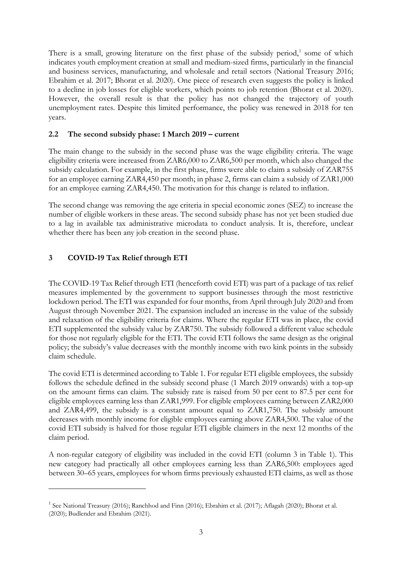There is a small, growing literature on the first phase of the subsidy period, $1$  some of which indicates youth employment creation at small and medium-sized firms, particularly in the financial and business services, manufacturing, and wholesale and retail sectors (National Treasury 2016; Ebrahim et al. 2017; Bhorat et al. 2020). One piece of research even suggests the policy is linked to a decline in job losses for eligible workers, which points to job retention [\(Bhorat et al. 2020\).](http://www.dpru.uct.ac.za/sites/default/files/image_tool/images/36/Publications/Working_Papers/DPRU%20WP202007.pdf) However, the overall result is that the policy has not changed the trajectory of youth unemployment rates. Despite this limited performance, the policy was renewed in 2018 for ten years.

### **2.2 The second subsidy phase: 1 March 2019 – current**

The main change to the subsidy in the second phase was the wage eligibility criteria. The wage eligibility criteria were increased from ZAR6,000 to ZAR6,500 per month, which also changed the subsidy calculation. For example, in the first phase, firms were able to claim a subsidy of ZAR755 for an employee earning ZAR4,450 per month; in phase 2, firms can claim a subsidy of ZAR1,000 for an employee earning ZAR4,450. The motivation for this change is related to inflation.

The second change was removing the age criteria in special economic zones (SEZ) to increase the number of eligible workers in these areas. The second subsidy phase has not yet been studied due to a lag in available tax administrative microdata to conduct analysis. It is, therefore, unclear whether there has been any job creation in the second phase.

## **3 COVID-19 Tax Relief through ETI**

The COVID-19 Tax Relief through ETI (henceforth covid ETI) was part of a package of tax relief measures implemented by the government to support businesses through the most restrictive lockdown period. The ETI was expanded for four months, from April through July 2020 and from August through November 2021. The expansion included an increase in the value of the subsidy and relaxation of the eligibility criteria for claims. Where the regular ETI was in place, the covid ETI supplemented the subsidy value by ZAR750. The subsidy followed a different value schedule for those not regularly eligible for the ETI. The covid ETI follows the same design as the original policy; the subsidy's value decreases with the monthly income with two kink points in the subsidy claim schedule.

The covid ETI is determined according t[o Table 1.](#page-5-0) For regular ETI eligible employees, the subsidy follows the schedule defined in the subsidy second phase (1 March 2019 onwards) with a top-up on the amount firms can claim. The subsidy rate is raised from 50 per cent to 87.5 per cent for eligible employees earning less than ZAR1,999. For eligible employees earning between ZAR2,000 and ZAR4,499, the subsidy is a constant amount equal to ZAR1,750. The subsidy amount decreases with monthly income for eligible employees earning above ZAR4,500. The value of the covid ETI subsidy is halved for those regular ETI eligible claimers in the next 12 months of the claim period.

A non-regular category of eligibility was included in the covid ETI (column 3 in [Table 1\)](#page-5-0). This new category had practically all other employees earning less than ZAR6,500: employees aged between 30–65 years, employees for whom firms previously exhausted ETI claims, as well as those

<span id="page-4-0"></span><sup>&</sup>lt;sup>1</sup> See National Treasury (2016); Ranchhod and Finn (2016); Ebrahim et al. (2017); Aflagah (2020); Bhorat et al. (2020); Budlender and Ebrahim (2021).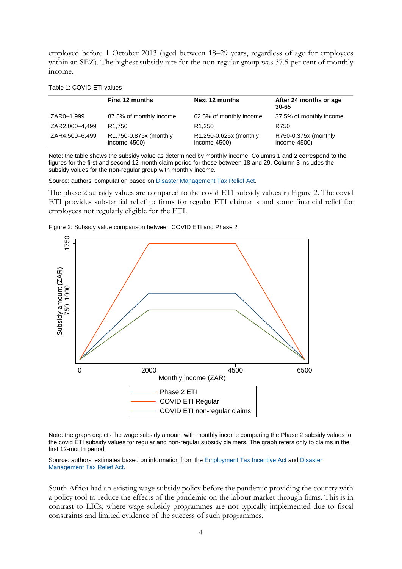employed before 1 October 2013 (aged between 18–29 years, regardless of age for employees within an SEZ). The highest subsidy rate for the non-regular group was 37.5 per cent of monthly income.

<span id="page-5-0"></span>

|  |  | Table 1: COVID ETI values |  |  |
|--|--|---------------------------|--|--|
|--|--|---------------------------|--|--|

|                | <b>First 12 months</b>                  | Next 12 months                         | After 24 months or age<br>30-65      |
|----------------|-----------------------------------------|----------------------------------------|--------------------------------------|
| ZAR0-1,999     | 87.5% of monthly income                 | 62.5% of monthly income                | 37.5% of monthly income              |
| ZAR2,000-4,499 | R <sub>1.750</sub>                      | R <sub>1.250</sub>                     | R750                                 |
| ZAR4,500-6,499 | R1,750-0.875x (monthly<br>$income-4500$ | R1,250-0.625x (monthly<br>income-4500) | R750-0.375x (monthly<br>income-4500) |

Note: the table shows the subsidy value as determined by monthly income. Columns 1 and 2 correspond to the figures for the first and second 12 month claim period for those between 18 and 29. Column 3 includes the subsidy values for the non-regular group with monthly income.

Source: authors' computation based on [Disaster Management Tax Relief Act.](https://www.gov.za/documents/disaster-management-tax-relief-act-13-2020-5-nov-2020-0000#:%7E:text=The%20Disaster%20Management%20Tax%20Relief,Act%2C%202013%2C%20so%20as%3A&text=to%20provide%20for%20a%20temporary,Development%20Levies%20Act%2C%201999%3B%20and)

The phase 2 subsidy values are compared to the covid ETI subsidy values in [Figure 2.](#page-5-1) The covid ETI provides substantial relief to firms for regular ETI claimants and some financial relief for employees not regularly eligible for the ETI.

<span id="page-5-1"></span>



Note: the graph depicts the wage subsidy amount with monthly income comparing the Phase 2 subsidy values to the covid ETI subsidy values for regular and non-regular subsidy claimers. The graph refers only to claims in the first 12-month period.

Source: authors' estimates based on information from the [Employment Tax Incentive](https://www.gov.za/documents/employment-tax-incentive-act#:%7E:text=The%20Employment%20Tax%20Incentive%20Act,provide%20for%20matters%20connected%20therewith) Act an[d Disaster](https://www.gov.za/documents/disaster-management-tax-relief-act-13-2020-5-nov-2020-0000#:%7E:text=The%20Disaster%20Management%20Tax%20Relief,Act%2C%202013%2C%20so%20as%3A&text=to%20provide%20for%20a%20temporary,Development%20Levies%20Act%2C%201999%3B%20and)  [Management Tax Relief Act.](https://www.gov.za/documents/disaster-management-tax-relief-act-13-2020-5-nov-2020-0000#:%7E:text=The%20Disaster%20Management%20Tax%20Relief,Act%2C%202013%2C%20so%20as%3A&text=to%20provide%20for%20a%20temporary,Development%20Levies%20Act%2C%201999%3B%20and)

South Africa had an existing wage subsidy policy before the pandemic providing the country with a policy tool to reduce the effects of the pandemic on the labour market through firms. This is in contrast to LICs, where wage subsidy programmes are not typically implemented due to fiscal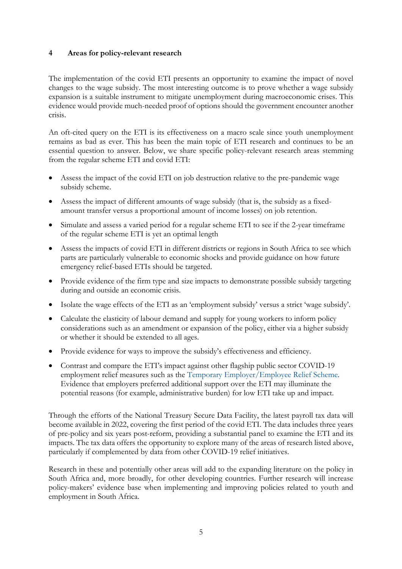### **4 Areas for policy-relevant research**

The implementation of the covid ETI presents an opportunity to examine the impact of novel changes to the wage subsidy. The most interesting outcome is to prove whether a wage subsidy expansion is a suitable instrument to mitigate unemployment during macroeconomic crises. This evidence would provide much-needed proof of options should the government encounter another crisis.

An oft-cited query on the ETI is its effectiveness on a macro scale since youth unemployment remains as bad as ever. This has been the main topic of ETI research and continues to be an essential question to answer. Below, we share specific policy-relevant research areas stemming from the regular scheme ETI and covid ETI:

- Assess the impact of the covid ETI on job destruction relative to the pre-pandemic wage subsidy scheme.
- Assess the impact of different amounts of wage subsidy (that is, the subsidy as a fixedamount transfer versus a proportional amount of income losses) on job retention.
- Simulate and assess a varied period for a regular scheme ETI to see if the 2-year timeframe of the regular scheme ETI is yet an optimal length
- Assess the impacts of covid ETI in different districts or regions in South Africa to see which parts are particularly vulnerable to economic shocks and provide guidance on how future emergency relief-based ETIs should be targeted.
- Provide evidence of the firm type and size impacts to demonstrate possible subsidy targeting during and outside an economic crisis.
- Isolate the wage effects of the ETI as an 'employment subsidy' versus a strict 'wage subsidy'.
- Calculate the elasticity of labour demand and supply for young workers to inform policy considerations such as an amendment or expansion of the policy, either via a higher subsidy or whether it should be extended to all ages.
- Provide evidence for ways to improve the subsidy's effectiveness and efficiency.
- Contrast and compare the ETI's impact against other flagship public sector COVID-19 employment relief measures such as the [Temporary Employer/Employee Relief Scheme.](https://www.gov.za/speeches/labour-temporary-employer-employee-relief-scheme-during-coronavirus-covid-19-27-mar-2020)  Evidence that employers preferred additional support over the ETI may illuminate the potential reasons (for example, administrative burden) for low ETI take up and impact.

Through the efforts of the National Treasury Secure Data Facility, the latest payroll tax data will become available in 2022, covering the first period of the covid ETI. The data includes three years of pre-policy and six years post-reform, providing a substantial panel to examine the ETI and its impacts. The tax data offers the opportunity to explore many of the areas of research listed above, particularly if complemented by data from other COVID-19 relief initiatives.

Research in these and potentially other areas will add to the expanding literature on the policy in South Africa and, more broadly, for other developing countries. Further research will increase policy-makers' evidence base when implementing and improving policies related to youth and employment in South Africa.